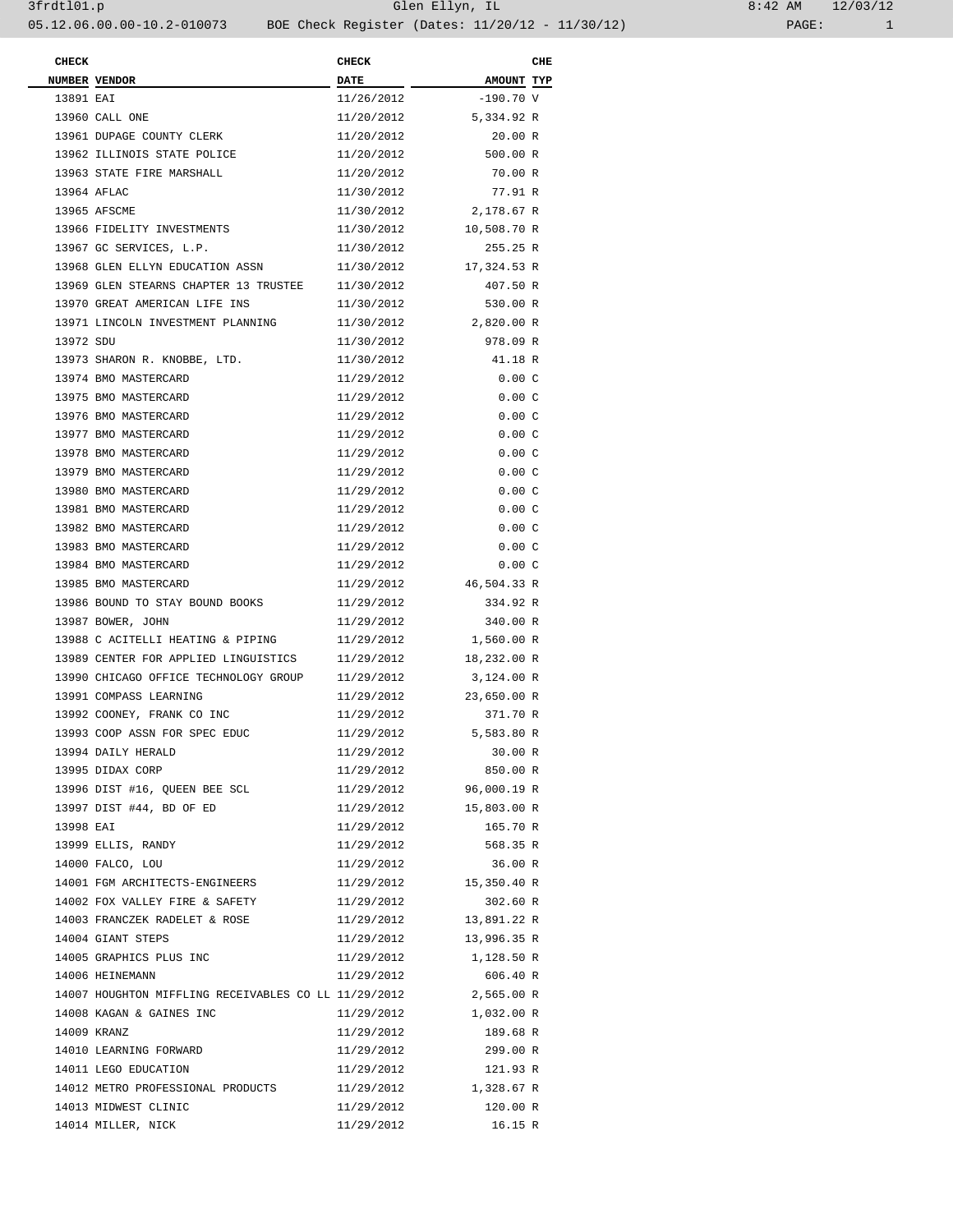| <b>CHECK</b> |                                                                 | <b>CHECK</b> |                        | CHE |
|--------------|-----------------------------------------------------------------|--------------|------------------------|-----|
|              | NUMBER VENDOR                                                   | <b>DATE</b>  | AMOUNT TYP             |     |
| 13891 EAT    |                                                                 | 11/26/2012   | $-190.70$ V            |     |
|              | 13960 CALL ONE                                                  | 11/20/2012   | 5,334.92 R             |     |
|              | 13961 DUPAGE COUNTY CLERK                                       | 11/20/2012   | 20.00 R                |     |
|              | 13962 ILLINOIS STATE POLICE                                     | 11/20/2012   | 500.00 R               |     |
|              | 13963 STATE FIRE MARSHALL                                       | 11/20/2012   | 70.00 R                |     |
|              | 13964 AFLAC                                                     | 11/30/2012   | 77.91 R                |     |
|              | 13965 AFSCME                                                    | 11/30/2012   | 2,178.67 R             |     |
|              | 13966 FIDELITY INVESTMENTS                                      | 11/30/2012   | 10,508.70 R            |     |
|              | 13967 GC SERVICES, L.P.                                         | 11/30/2012   | 255.25 R               |     |
|              | 13968 GLEN ELLYN EDUCATION ASSN                                 | 11/30/2012   | 17,324.53 R            |     |
|              | 13969 GLEN STEARNS CHAPTER 13 TRUSTEE                           | 11/30/2012   | 407.50 R               |     |
|              | 13970 GREAT AMERICAN LIFE INS                                   | 11/30/2012   | 530.00 R               |     |
|              | 13971 LINCOLN INVESTMENT PLANNING                               | 11/30/2012   | 2,820.00 R             |     |
| 13972 SDU    |                                                                 | 11/30/2012   | 978.09 R               |     |
|              | 13973 SHARON R. KNOBBE, LTD.                                    | 11/30/2012   | 41.18 R                |     |
|              | 13974 BMO MASTERCARD                                            | 11/29/2012   | 0.00C                  |     |
|              | 13975 BMO MASTERCARD                                            | 11/29/2012   | 0.00C                  |     |
|              | 13976 BMO MASTERCARD                                            | 11/29/2012   | 0.00C                  |     |
|              | 13977 BMO MASTERCARD                                            | 11/29/2012   | 0.00C                  |     |
|              | 13978 BMO MASTERCARD                                            | 11/29/2012   | 0.00C                  |     |
|              | 13979 BMO MASTERCARD                                            | 11/29/2012   | 0.00C                  |     |
|              | 13980 BMO MASTERCARD                                            | 11/29/2012   | 0.00C                  |     |
|              | 13981 BMO MASTERCARD                                            | 11/29/2012   | 0.00C                  |     |
|              | 13982 BMO MASTERCARD                                            | 11/29/2012   | 0.00C                  |     |
|              | 13983 BMO MASTERCARD                                            | 11/29/2012   | 0.00C                  |     |
|              | 13984 BMO MASTERCARD                                            | 11/29/2012   | 0.00C                  |     |
|              | 13985 BMO MASTERCARD                                            |              | 11/29/2012 46,504.33 R |     |
|              | 13986 BOUND TO STAY BOUND BOOKS                                 | 11/29/2012   | 334.92 R               |     |
|              | 13987 BOWER, JOHN                                               | 11/29/2012   | 340.00 R               |     |
|              | 13988 C ACITELLI HEATING & PIPING                               | 11/29/2012   | 1,560.00 R             |     |
|              | 13989 CENTER FOR APPLIED LINGUISTICS                            | 11/29/2012   | 18,232.00 R            |     |
|              | 13990 CHICAGO OFFICE TECHNOLOGY GROUP                           | 11/29/2012   | 3,124.00 R             |     |
|              | 13991 COMPASS LEARNING                                          |              | 11/29/2012 23,650.00 R |     |
|              | 13992 COONEY, FRANK CO INC                                      | 11/29/2012   | 371.70 R               |     |
|              | 13993 COOP ASSN FOR SPEC EDUC                                   | 11/29/2012   | 5,583.80 R             |     |
|              | 13994 DAILY HERALD                                              | 11/29/2012   | 30.00 R                |     |
|              | 13995 DIDAX CORP                                                | 11/29/2012   | 850.00 R               |     |
|              | 13996 DIST #16, QUEEN BEE SCL                                   |              | 11/29/2012 96,000.19 R |     |
|              | 13997 DIST #44, BD OF ED                                        |              | 11/29/2012 15,803.00 R |     |
| 13998 EAI    |                                                                 | 11/29/2012   | 165.70 R               |     |
|              | 13999 ELLIS, RANDY                                              | 11/29/2012   | 568.35 R               |     |
|              | 14000 FALCO, LOU                                                | 11/29/2012   | 36.00 R                |     |
|              | 14001 FGM ARCHITECTS-ENGINEERS                                  |              | 11/29/2012 15,350.40 R |     |
|              | 14002 FOX VALLEY FIRE & SAFETY                                  | 11/29/2012   | 302.60 R               |     |
|              | 14003 FRANCZEK RADELET & ROSE                                   | 11/29/2012   | 13,891.22 R            |     |
|              | 14004 GIANT STEPS                                               |              | 11/29/2012 13,996.35 R |     |
|              | 14005 GRAPHICS PLUS INC                                         |              | 11/29/2012 1,128.50 R  |     |
|              | 14006 HEINEMANN                                                 | 11/29/2012   | 606.40 R               |     |
|              | 14007 HOUGHTON MIFFLING RECEIVABLES CO LL 11/29/2012 2,565.00 R |              |                        |     |
|              | 14008 KAGAN & GAINES INC                                        |              | 11/29/2012 1,032.00 R  |     |
|              | 14009 KRANZ                                                     | 11/29/2012   | 189.68 R               |     |
|              | 14010 LEARNING FORWARD                                          | 11/29/2012   | 299.00 R               |     |
|              | 14011 LEGO EDUCATION                                            | 11/29/2012   | 121.93 R               |     |
|              | 14012 METRO PROFESSIONAL PRODUCTS                               |              | 11/29/2012 1,328.67 R  |     |
|              | 14013 MIDWEST CLINIC                                            | 11/29/2012   | 120.00 R               |     |
|              | 14014 MILLER, NICK                                              | 11/29/2012   | 16.15 R                |     |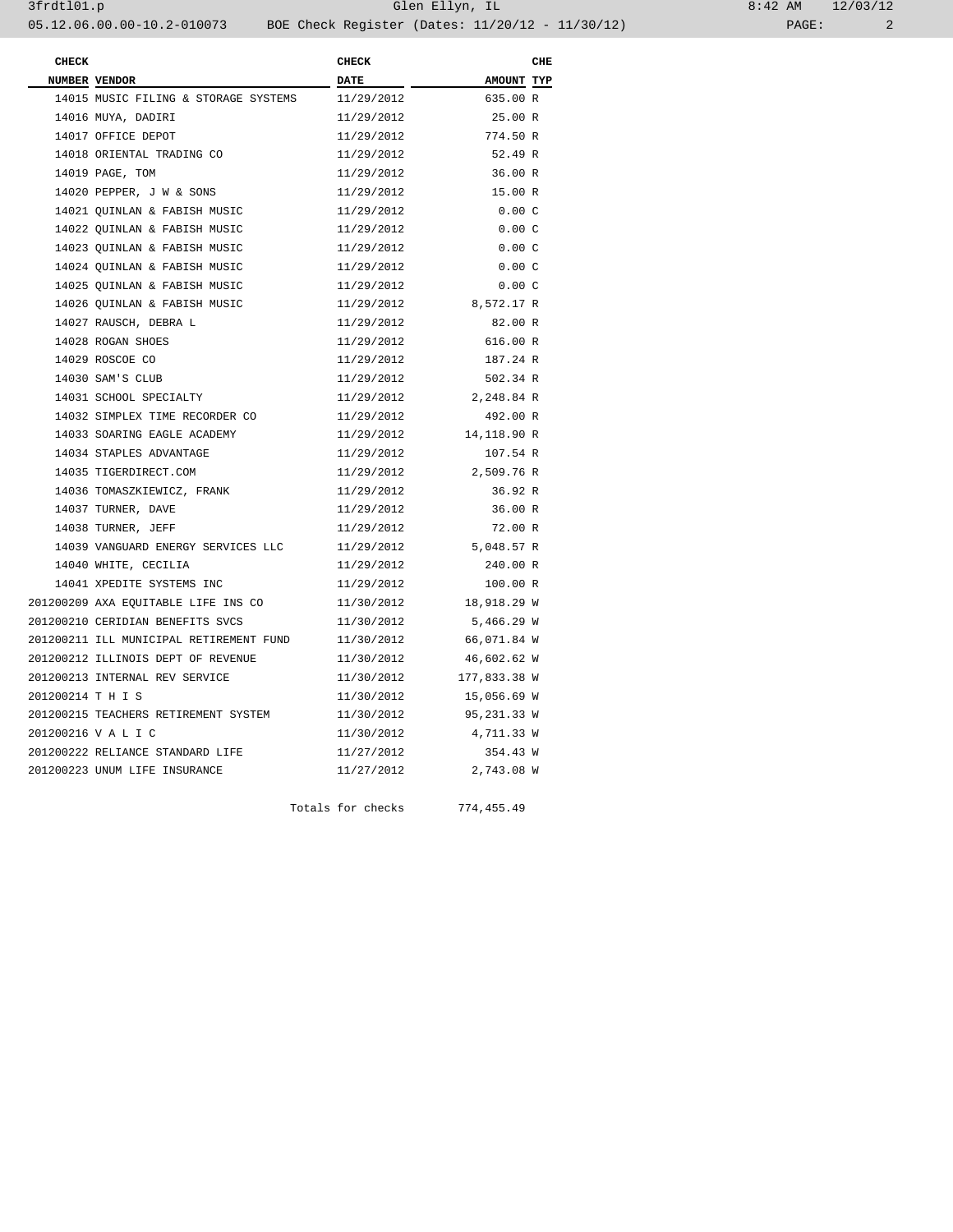| <b>CHECK</b>      |                                         | <b>CHECK</b> |                         | CHE |
|-------------------|-----------------------------------------|--------------|-------------------------|-----|
|                   | NUMBER VENDOR                           | <b>DATE</b>  | AMOUNT TYP              |     |
|                   | 14015 MUSIC FILING & STORAGE SYSTEMS    | 11/29/2012   | 635.00 R                |     |
|                   | 14016 MUYA, DADIRI                      | 11/29/2012   | 25.00 R                 |     |
|                   | 14017 OFFICE DEPOT                      | 11/29/2012   | 774.50 R                |     |
|                   | 14018 ORIENTAL TRADING CO               | 11/29/2012   | 52.49 R                 |     |
|                   | 14019 PAGE, TOM                         | 11/29/2012   | 36.00 R                 |     |
|                   | 14020 PEPPER, J W & SONS                | 11/29/2012   | 15.00 R                 |     |
|                   | 14021 QUINLAN & FABISH MUSIC            | 11/29/2012   | 0.00C                   |     |
|                   | 14022 QUINLAN & FABISH MUSIC            | 11/29/2012   | 0.00C                   |     |
|                   | 14023 QUINLAN & FABISH MUSIC            | 11/29/2012   | 0.00C                   |     |
|                   | 14024 QUINLAN & FABISH MUSIC            | 11/29/2012   | 0.00C                   |     |
|                   | 14025 OUINLAN & FABISH MUSIC            | 11/29/2012   | 0.00C                   |     |
|                   | 14026 OUINLAN & FABISH MUSIC            | 11/29/2012   | 8,572.17 R              |     |
|                   | 14027 RAUSCH, DEBRA L                   | 11/29/2012   | 82.00 R                 |     |
|                   | 14028 ROGAN SHOES                       | 11/29/2012   | 616.00 R                |     |
|                   | 14029 ROSCOE CO                         | 11/29/2012   | 187.24 R                |     |
|                   | 14030 SAM'S CLUB                        | 11/29/2012   | 502.34 R                |     |
|                   | 14031 SCHOOL SPECIALTY                  | 11/29/2012   | 2,248.84 R              |     |
|                   | 14032 SIMPLEX TIME RECORDER CO          | 11/29/2012   | 492.00 R                |     |
|                   | 14033 SOARING EAGLE ACADEMY             | 11/29/2012   | 14,118.90 R             |     |
|                   | 14034 STAPLES ADVANTAGE                 | 11/29/2012   | 107.54 R                |     |
|                   | 14035 TIGERDIRECT.COM                   | 11/29/2012   | 2,509.76 R              |     |
|                   | 14036 TOMASZKIEWICZ, FRANK              | 11/29/2012   | 36.92 R                 |     |
|                   | 14037 TURNER, DAVE                      | 11/29/2012   | 36.00 R                 |     |
|                   | 14038 TURNER, JEFF                      | 11/29/2012   | 72.00 R                 |     |
|                   | 14039 VANGUARD ENERGY SERVICES LLC      | 11/29/2012   | 5,048.57 R              |     |
|                   | 14040 WHITE, CECILIA                    | 11/29/2012   | 240.00 R                |     |
|                   | 14041 XPEDITE SYSTEMS INC               | 11/29/2012   | 100.00 R                |     |
|                   | 201200209 AXA EQUITABLE LIFE INS CO     | 11/30/2012   | 18,918.29 W             |     |
|                   | 201200210 CERIDIAN BENEFITS SVCS        | 11/30/2012   | 5,466.29 W              |     |
|                   | 201200211 ILL MUNICIPAL RETIREMENT FUND | 11/30/2012   | 66,071.84 W             |     |
|                   | 201200212 ILLINOIS DEPT OF REVENUE      | 11/30/2012   | 46,602.62 W             |     |
|                   | 201200213 INTERNAL REV SERVICE          |              | 11/30/2012 177,833.38 W |     |
| 201200214 T H I S |                                         | 11/30/2012   | 15,056.69 W             |     |
|                   | 201200215 TEACHERS RETIREMENT SYSTEM    | 11/30/2012   | 95,231.33 W             |     |
|                   | 201200216 V A L I C                     | 11/30/2012   | 4,711.33 W              |     |
|                   | 201200222 RELIANCE STANDARD LIFE        | 11/27/2012   | 354.43 W                |     |
|                   | 201200223 UNUM LIFE INSURANCE           | 11/27/2012   | 2,743.08 W              |     |
|                   |                                         |              |                         |     |

Totals for checks 774,455.49